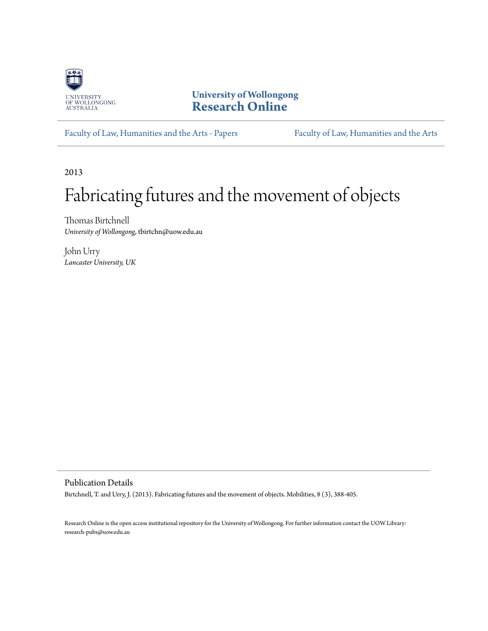

**University of Wollongong [Research Online](http://ro.uow.edu.au)**

[Faculty of Law, Humanities and the Arts - Papers](http://ro.uow.edu.au/lhapapers) [Faculty of Law, Humanities and the Arts](http://ro.uow.edu.au/lha)

2013

# Fabricating futures and the movement of objects

Thomas Birtchnell *University of Wollongong*, tbirtchn@uow.edu.au

John Urry *Lancaster University, UK*

Publication Details

Birtchnell, T. and Urry, J. (2013). Fabricating futures and the movement of objects. Mobilities, 8 (3), 388-405.

Research Online is the open access institutional repository for the University of Wollongong. For further information contact the UOW Library: research-pubs@uow.edu.au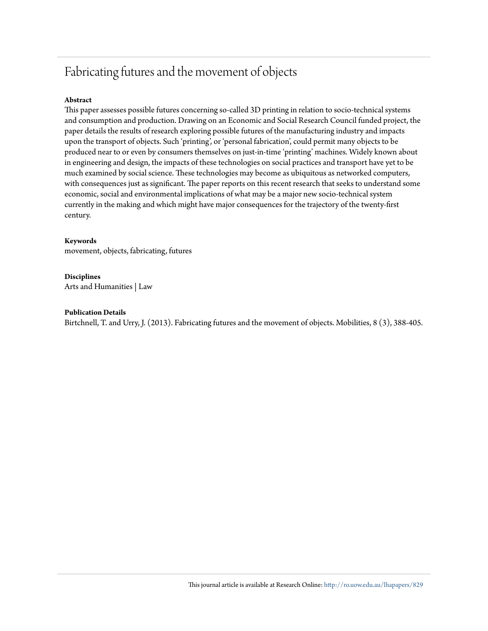# Fabricating futures and the movement of objects

#### **Abstract**

This paper assesses possible futures concerning so-called 3D printing in relation to socio-technical systems and consumption and production. Drawing on an Economic and Social Research Council funded project, the paper details the results of research exploring possible futures of the manufacturing industry and impacts upon the transport of objects. Such 'printing', or 'personal fabrication', could permit many objects to be produced near to or even by consumers themselves on just-in-time 'printing' machines. Widely known about in engineering and design, the impacts of these technologies on social practices and transport have yet to be much examined by social science. These technologies may become as ubiquitous as networked computers, with consequences just as significant. The paper reports on this recent research that seeks to understand some economic, social and environmental implications of what may be a major new socio-technical system currently in the making and which might have major consequences for the trajectory of the twenty-first century.

#### **Keywords**

movement, objects, fabricating, futures

#### **Disciplines**

Arts and Humanities | Law

#### **Publication Details**

Birtchnell, T. and Urry, J. (2013). Fabricating futures and the movement of objects. Mobilities, 8 (3), 388-405.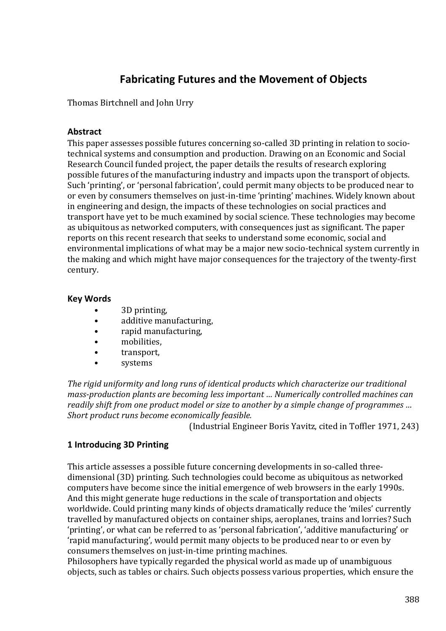## **Fabricating Futures and the Movement of Objects**

Thomas Birtchnell and John Urry

#### **Abstract**

This paper assesses possible futures concerning so-called 3D printing in relation to sociotechnical systems and consumption and production. Drawing on an Economic and Social Research Council funded project, the paper details the results of research exploring possible futures of the manufacturing industry and impacts upon the transport of objects. Such 'printing', or 'personal fabrication', could permit many objects to be produced near to or even by consumers themselves on just-in-time 'printing' machines. Widely known about in engineering and design, the impacts of these technologies on social practices and transport have yet to be much examined by social science. These technologies may become as ubiquitous as networked computers, with consequences just as significant. The paper reports on this recent research that seeks to understand some economic, social and environmental implications of what may be a major new socio-technical system currently in the making and which might have major consequences for the trajectory of the twenty-first century.

### **Key Words**

- 3D printing,
- additive manufacturing,
- rapid manufacturing,
- mobilities,
- transport,
- systems

*The rigid uniformity and long runs of identical products which characterize our traditional mass-production plants are becoming less important … Numerically controlled machines can readily shift from one product model or size to another by a simple change of programmes … Short product runs become economically feasible.* 

(Industrial Engineer Boris Yavitz, cited in Toffler 1971, 243)

## **1 Introducing 3D Printing**

This article assesses a possible future concerning developments in so-called threedimensional (3D) printing. Such technologies could become as ubiquitous as networked computers have become since the initial emergence of web browsers in the early 1990s. And this might generate huge reductions in the scale of transportation and objects worldwide. Could printing many kinds of objects dramatically reduce the 'miles' currently travelled by manufactured objects on container ships, aeroplanes, trains and lorries? Such 'printing', or what can be referred to as 'personal fabrication', 'additive manufacturing' or 'rapid manufacturing', would permit many objects to be produced near to or even by consumers themselves on just-in-time printing machines.

Philosophers have typically regarded the physical world as made up of unambiguous objects, such as tables or chairs. Such objects possess various properties, which ensure the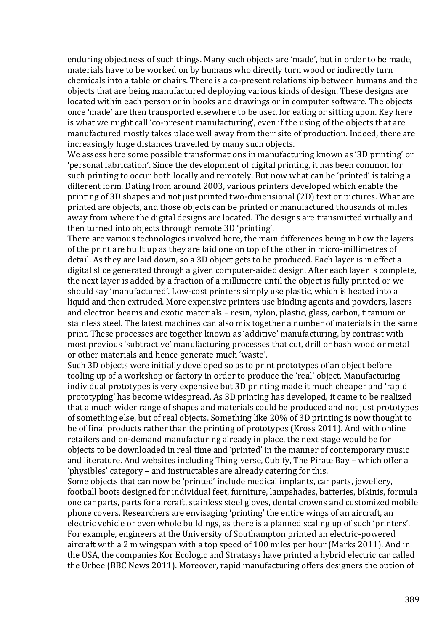enduring objectness of such things. Many such objects are 'made', but in order to be made, materials have to be worked on by humans who directly turn wood or indirectly turn chemicals into a table or chairs. There is a co-present relationship between humans and the objects that are being manufactured deploying various kinds of design. These designs are located within each person or in books and drawings or in computer software. The objects once 'made' are then transported elsewhere to be used for eating or sitting upon. Key here is what we might call 'co-present manufacturing', even if the using of the objects that are manufactured mostly takes place well away from their site of production. Indeed, there are increasingly huge distances travelled by many such objects.

We assess here some possible transformations in manufacturing known as '3D printing' or 'personal fabrication'. Since the development of digital printing, it has been common for such printing to occur both locally and remotely. But now what can be 'printed' is taking a different form. Dating from around 2003, various printers developed which enable the printing of 3D shapes and not just printed two-dimensional (2D) text or pictures. What are printed are objects, and those objects can be printed or manufactured thousands of miles away from where the digital designs are located. The designs are transmitted virtually and then turned into objects through remote 3D 'printing'.

There are various technologies involved here, the main differences being in how the layers of the print are built up as they are laid one on top of the other in micro-millimetres of detail. As they are laid down, so a 3D object gets to be produced. Each layer is in effect a digital slice generated through a given computer-aided design. After each layer is complete, the next layer is added by a fraction of a millimetre until the object is fully printed or we should say 'manufactured'. Low-cost printers simply use plastic, which is heated into a liquid and then extruded. More expensive printers use binding agents and powders, lasers and electron beams and exotic materials – resin, nylon, plastic, glass, carbon, titanium or stainless steel. The latest machines can also mix together a number of materials in the same print. These processes are together known as 'additive' manufacturing, by contrast with most previous 'subtractive' manufacturing processes that cut, drill or bash wood or metal or other materials and hence generate much 'waste'.

Such 3D objects were initially developed so as to print prototypes of an object before tooling up of a workshop or factory in order to produce the 'real' object. Manufacturing individual prototypes is very expensive but 3D printing made it much cheaper and 'rapid prototyping' has become widespread. As 3D printing has developed, it came to be realized that a much wider range of shapes and materials could be produced and not just prototypes of something else, but of real objects. Something like 20% of 3D printing is now thought to be of final products rather than the printing of prototypes (Kross 2011). And with online retailers and on-demand manufacturing already in place, the next stage would be for objects to be downloaded in real time and 'printed' in the manner of contemporary music and literature. And websites including Thingiverse, Cubify, The Pirate Bay – which offer a 'physibles' category – and instructables are already catering for this.

Some objects that can now be 'printed' include medical implants, car parts, jewellery, football boots designed for individual feet, furniture, lampshades, batteries, bikinis, formula one car parts, parts for aircraft, stainless steel gloves, dental crowns and customized mobile phone covers. Researchers are envisaging 'printing' the entire wings of an aircraft, an electric vehicle or even whole buildings, as there is a planned scaling up of such 'printers'. For example, engineers at the University of Southampton printed an electric-powered aircraft with a 2 m wingspan with a top speed of 100 miles per hour (Marks 2011). And in the USA, the companies Kor Ecologic and Stratasys have printed a hybrid electric car called the Urbee (BBC News 2011). Moreover, rapid manufacturing offers designers the option of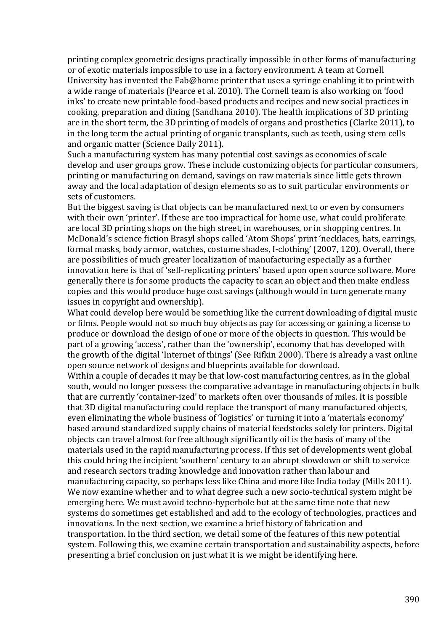printing complex geometric designs practically impossible in other forms of manufacturing or of exotic materials impossible to use in a factory environment. A team at Cornell University has invented the Fab@home printer that uses a syringe enabling it to print with a wide range of materials (Pearce et al. 2010). The Cornell team is also working on 'food inks' to create new printable food-based products and recipes and new social practices in cooking, preparation and dining (Sandhana 2010). The health implications of 3D printing are in the short term, the 3D printing of models of organs and prosthetics (Clarke 2011), to in the long term the actual printing of organic transplants, such as teeth, using stem cells and organic matter (Science Daily 2011).

Such a manufacturing system has many potential cost savings as economies of scale develop and user groups grow. These include customizing objects for particular consumers, printing or manufacturing on demand, savings on raw materials since little gets thrown away and the local adaptation of design elements so as to suit particular environments or sets of customers.

But the biggest saving is that objects can be manufactured next to or even by consumers with their own 'printer'. If these are too impractical for home use, what could proliferate are local 3D printing shops on the high street, in warehouses, or in shopping centres. In McDonald's science fiction Brasyl shops called 'Atom Shops' print 'necklaces, hats, earrings, formal masks, body armor, watches, costume shades, I-clothing' (2007, 120). Overall, there are possibilities of much greater localization of manufacturing especially as a further innovation here is that of 'self-replicating printers' based upon open source software. More generally there is for some products the capacity to scan an object and then make endless copies and this would produce huge cost savings (although would in turn generate many issues in copyright and ownership).

What could develop here would be something like the current downloading of digital music or films. People would not so much buy objects as pay for accessing or gaining a license to produce or download the design of one or more of the objects in question. This would be part of a growing 'access', rather than the 'ownership', economy that has developed with the growth of the digital 'Internet of things' (See Rifkin 2000). There is already a vast online open source network of designs and blueprints available for download.

Within a couple of decades it may be that low-cost manufacturing centres, as in the global south, would no longer possess the comparative advantage in manufacturing objects in bulk that are currently 'container-ized' to markets often over thousands of miles. It is possible that 3D digital manufacturing could replace the transport of many manufactured objects, even eliminating the whole business of 'logistics' or turning it into a 'materials economy' based around standardized supply chains of material feedstocks solely for printers. Digital objects can travel almost for free although significantly oil is the basis of many of the materials used in the rapid manufacturing process. If this set of developments went global this could bring the incipient 'southern' century to an abrupt slowdown or shift to service and research sectors trading knowledge and innovation rather than labour and manufacturing capacity, so perhaps less like China and more like India today (Mills 2011). We now examine whether and to what degree such a new socio-technical system might be emerging here. We must avoid techno-hyperbole but at the same time note that new systems do sometimes get established and add to the ecology of technologies, practices and innovations. In the next section, we examine a brief history of fabrication and transportation. In the third section, we detail some of the features of this new potential system. Following this, we examine certain transportation and sustainability aspects, before presenting a brief conclusion on just what it is we might be identifying here.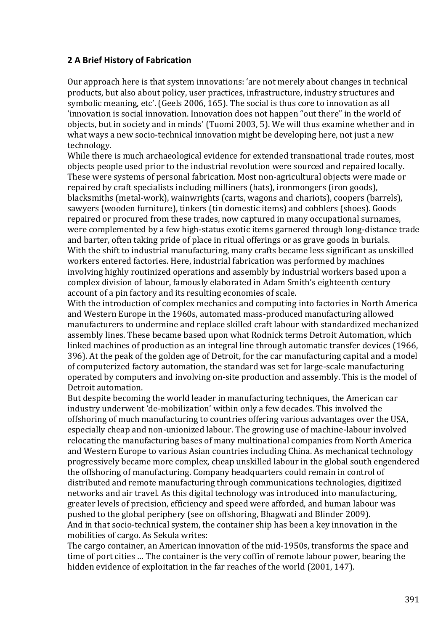### **2 A Brief History of Fabrication**

Our approach here is that system innovations: 'are not merely about changes in technical products, but also about policy, user practices, infrastructure, industry structures and symbolic meaning, etc'. (Geels 2006, 165). The social is thus core to innovation as all 'innovation is social innovation. Innovation does not happen "out there" in the world of objects, but in society and in minds' (Tuomi 2003, 5). We will thus examine whether and in what ways a new socio-technical innovation might be developing here, not just a new technology.

While there is much archaeological evidence for extended transnational trade routes, most objects people used prior to the industrial revolution were sourced and repaired locally. These were systems of personal fabrication. Most non-agricultural objects were made or repaired by craft specialists including milliners (hats), ironmongers (iron goods), blacksmiths (metal-work), wainwrights (carts, wagons and chariots), coopers (barrels), sawyers (wooden furniture), tinkers (tin domestic items) and cobblers (shoes). Goods repaired or procured from these trades, now captured in many occupational surnames, were complemented by a few high-status exotic items garnered through long-distance trade and barter, often taking pride of place in ritual offerings or as grave goods in burials. With the shift to industrial manufacturing, many crafts became less significant as unskilled workers entered factories. Here, industrial fabrication was performed by machines involving highly routinized operations and assembly by industrial workers based upon a complex division of labour, famously elaborated in Adam Smith's eighteenth century account of a pin factory and its resulting economies of scale.

With the introduction of complex mechanics and computing into factories in North America and Western Europe in the 1960s, automated mass-produced manufacturing allowed manufacturers to undermine and replace skilled craft labour with standardized mechanized assembly lines. These became based upon what Rodnick terms Detroit Automation, which linked machines of production as an integral line through automatic transfer devices (1966, 396). At the peak of the golden age of Detroit, for the car manufacturing capital and a model of computerized factory automation, the standard was set for large-scale manufacturing operated by computers and involving on-site production and assembly. This is the model of Detroit automation.

But despite becoming the world leader in manufacturing techniques, the American car industry underwent 'de-mobilization' within only a few decades. This involved the offshoring of much manufacturing to countries offering various advantages over the USA, especially cheap and non-unionized labour. The growing use of machine-labour involved relocating the manufacturing bases of many multinational companies from North America and Western Europe to various Asian countries including China. As mechanical technology progressively became more complex, cheap unskilled labour in the global south engendered the offshoring of manufacturing. Company headquarters could remain in control of distributed and remote manufacturing through communications technologies, digitized networks and air travel. As this digital technology was introduced into manufacturing, greater levels of precision, efficiency and speed were afforded, and human labour was pushed to the global periphery (see on offshoring, Bhagwati and Blinder 2009). And in that socio-technical system, the container ship has been a key innovation in the mobilities of cargo. As Sekula writes:

The cargo container, an American innovation of the mid-1950s, transforms the space and time of port cities … The container is the very coffin of remote labour power, bearing the hidden evidence of exploitation in the far reaches of the world (2001, 147).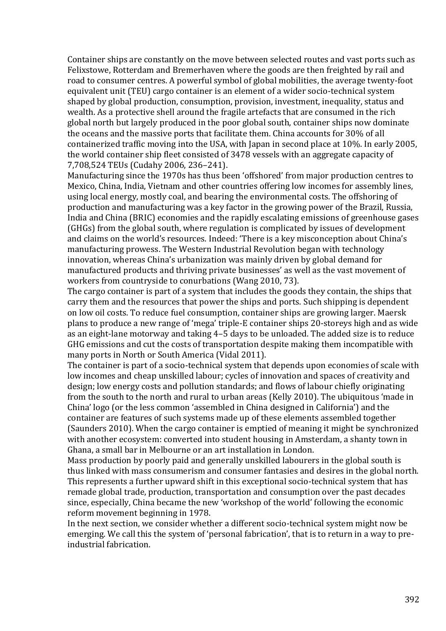Container ships are constantly on the move between selected routes and vast ports such as Felixstowe, Rotterdam and Bremerhaven where the goods are then freighted by rail and road to consumer centres. A powerful symbol of global mobilities, the average twenty-foot equivalent unit (TEU) cargo container is an element of a wider socio-technical system shaped by global production, consumption, provision, investment, inequality, status and wealth. As a protective shell around the fragile artefacts that are consumed in the rich global north but largely produced in the poor global south, container ships now dominate the oceans and the massive ports that facilitate them. China accounts for 30% of all containerized traffic moving into the USA, with Japan in second place at 10%. In early 2005, the world container ship fleet consisted of 3478 vessels with an aggregate capacity of 7,708,524 TEUs (Cudahy 2006, 236–241).

Manufacturing since the 1970s has thus been 'offshored' from major production centres to Mexico, China, India, Vietnam and other countries offering low incomes for assembly lines, using local energy, mostly coal, and bearing the environmental costs. The offshoring of production and manufacturing was a key factor in the growing power of the Brazil, Russia, India and China (BRIC) economies and the rapidly escalating emissions of greenhouse gases (GHGs) from the global south, where regulation is complicated by issues of development and claims on the world's resources. Indeed: 'There is a key misconception about China's manufacturing prowess. The Western Industrial Revolution began with technology innovation, whereas China's urbanization was mainly driven by global demand for manufactured products and thriving private businesses' as well as the vast movement of workers from countryside to conurbations (Wang 2010, 73).

The cargo container is part of a system that includes the goods they contain, the ships that carry them and the resources that power the ships and ports. Such shipping is dependent on low oil costs. To reduce fuel consumption, container ships are growing larger. Maersk plans to produce a new range of 'mega' triple-E container ships 20-storeys high and as wide as an eight-lane motorway and taking 4–5 days to be unloaded. The added size is to reduce GHG emissions and cut the costs of transportation despite making them incompatible with many ports in North or South America (Vidal 2011).

The container is part of a socio-technical system that depends upon economies of scale with low incomes and cheap unskilled labour; cycles of innovation and spaces of creativity and design; low energy costs and pollution standards; and flows of labour chiefly originating from the south to the north and rural to urban areas (Kelly 2010). The ubiquitous 'made in China' logo (or the less common 'assembled in China designed in California') and the container are features of such systems made up of these elements assembled together (Saunders 2010). When the cargo container is emptied of meaning it might be synchronized with another ecosystem: converted into student housing in Amsterdam, a shanty town in Ghana, a small bar in Melbourne or an art installation in London.

Mass production by poorly paid and generally unskilled labourers in the global south is thus linked with mass consumerism and consumer fantasies and desires in the global north. This represents a further upward shift in this exceptional socio-technical system that has remade global trade, production, transportation and consumption over the past decades since, especially, China became the new 'workshop of the world' following the economic reform movement beginning in 1978.

In the next section, we consider whether a different socio-technical system might now be emerging. We call this the system of 'personal fabrication', that is to return in a way to preindustrial fabrication.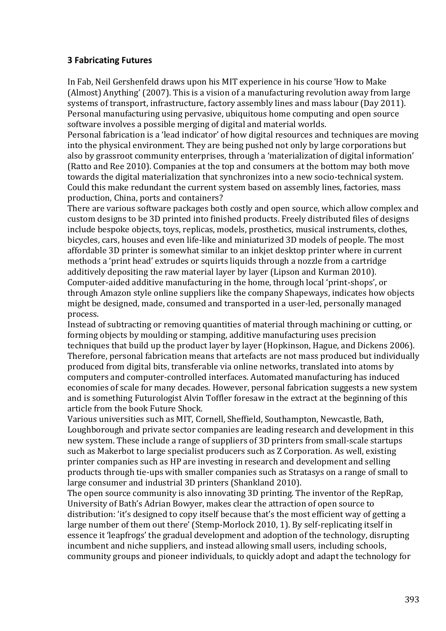#### **3 Fabricating Futures**

In Fab, Neil Gershenfeld draws upon his MIT experience in his course 'How to Make (Almost) Anything' (2007). This is a vision of a manufacturing revolution away from large systems of transport, infrastructure, factory assembly lines and mass labour (Day 2011). Personal manufacturing using pervasive, ubiquitous home computing and open source software involves a possible merging of digital and material worlds.

Personal fabrication is a 'lead indicator' of how digital resources and techniques are moving into the physical environment. They are being pushed not only by large corporations but also by grassroot community enterprises, through a 'materialization of digital information' (Ratto and Ree 2010). Companies at the top and consumers at the bottom may both move towards the digital materialization that synchronizes into a new socio-technical system. Could this make redundant the current system based on assembly lines, factories, mass production, China, ports and containers?

There are various software packages both costly and open source, which allow complex and custom designs to be 3D printed into finished products. Freely distributed files of designs include bespoke objects, toys, replicas, models, prosthetics, musical instruments, clothes, bicycles, cars, houses and even life-like and miniaturized 3D models of people. The most affordable 3D printer is somewhat similar to an inkjet desktop printer where in current methods a 'print head' extrudes or squirts liquids through a nozzle from a cartridge additively depositing the raw material layer by layer (Lipson and Kurman 2010). Computer-aided additive manufacturing in the home, through local 'print-shops', or through Amazon style online suppliers like the company Shapeways, indicates how objects might be designed, made, consumed and transported in a user-led, personally managed process.

Instead of subtracting or removing quantities of material through machining or cutting, or forming objects by moulding or stamping, additive manufacturing uses precision techniques that build up the product layer by layer (Hopkinson, Hague, and Dickens 2006). Therefore, personal fabrication means that artefacts are not mass produced but individually produced from digital bits, transferable via online networks, translated into atoms by computers and computer-controlled interfaces. Automated manufacturing has induced economies of scale for many decades. However, personal fabrication suggests a new system and is something Futurologist Alvin Toffler foresaw in the extract at the beginning of this article from the book Future Shock.

Various universities such as MIT, Cornell, Sheffield, Southampton, Newcastle, Bath, Loughborough and private sector companies are leading research and development in this new system. These include a range of suppliers of 3D printers from small-scale startups such as Makerbot to large specialist producers such as Z Corporation. As well, existing printer companies such as HP are investing in research and development and selling products through tie-ups with smaller companies such as Stratasys on a range of small to large consumer and industrial 3D printers (Shankland 2010).

The open source community is also innovating 3D printing. The inventor of the RepRap, University of Bath's Adrian Bowyer, makes clear the attraction of open source to distribution: 'it's designed to copy itself because that's the most efficient way of getting a large number of them out there' (Stemp-Morlock 2010, 1). By self-replicating itself in essence it 'leapfrogs' the gradual development and adoption of the technology, disrupting incumbent and niche suppliers, and instead allowing small users, including schools, community groups and pioneer individuals, to quickly adopt and adapt the technology for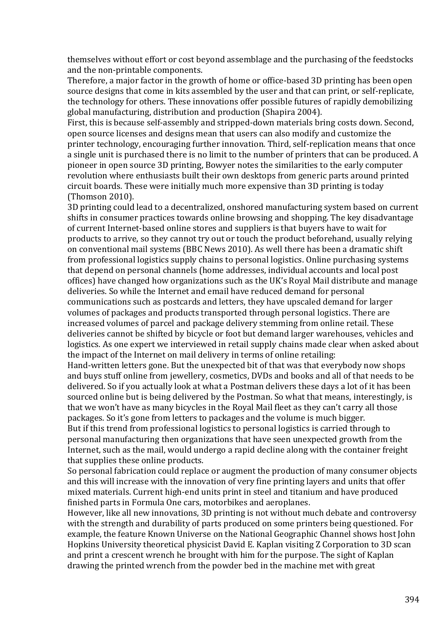themselves without effort or cost beyond assemblage and the purchasing of the feedstocks and the non-printable components.

Therefore, a major factor in the growth of home or office-based 3D printing has been open source designs that come in kits assembled by the user and that can print, or self-replicate, the technology for others. These innovations offer possible futures of rapidly demobilizing global manufacturing, distribution and production (Shapira 2004).

First, this is because self-assembly and stripped-down materials bring costs down. Second, open source licenses and designs mean that users can also modify and customize the printer technology, encouraging further innovation. Third, self-replication means that once a single unit is purchased there is no limit to the number of printers that can be produced. A pioneer in open source 3D printing, Bowyer notes the similarities to the early computer revolution where enthusiasts built their own desktops from generic parts around printed circuit boards. These were initially much more expensive than 3D printing is today (Thomson 2010).

3D printing could lead to a decentralized, onshored manufacturing system based on current shifts in consumer practices towards online browsing and shopping. The key disadvantage of current Internet-based online stores and suppliers is that buyers have to wait for products to arrive, so they cannot try out or touch the product beforehand, usually relying on conventional mail systems (BBC News 2010). As well there has been a dramatic shift from professional logistics supply chains to personal logistics. Online purchasing systems that depend on personal channels (home addresses, individual accounts and local post offices) have changed how organizations such as the UK's Royal Mail distribute and manage deliveries. So while the Internet and email have reduced demand for personal communications such as postcards and letters, they have upscaled demand for larger volumes of packages and products transported through personal logistics. There are increased volumes of parcel and package delivery stemming from online retail. These deliveries cannot be shifted by bicycle or foot but demand larger warehouses, vehicles and logistics. As one expert we interviewed in retail supply chains made clear when asked about the impact of the Internet on mail delivery in terms of online retailing:

Hand-written letters gone. But the unexpected bit of that was that everybody now shops and buys stuff online from jewellery, cosmetics, DVDs and books and all of that needs to be delivered. So if you actually look at what a Postman delivers these days a lot of it has been sourced online but is being delivered by the Postman. So what that means, interestingly, is that we won't have as many bicycles in the Royal Mail fleet as they can't carry all those packages. So it's gone from letters to packages and the volume is much bigger.

But if this trend from professional logistics to personal logistics is carried through to personal manufacturing then organizations that have seen unexpected growth from the Internet, such as the mail, would undergo a rapid decline along with the container freight that supplies these online products.

So personal fabrication could replace or augment the production of many consumer objects and this will increase with the innovation of very fine printing layers and units that offer mixed materials. Current high-end units print in steel and titanium and have produced finished parts in Formula One cars, motorbikes and aeroplanes.

However, like all new innovations, 3D printing is not without much debate and controversy with the strength and durability of parts produced on some printers being questioned. For example, the feature Known Universe on the National Geographic Channel shows host John Hopkins University theoretical physicist David E. Kaplan visiting Z Corporation to 3D scan and print a crescent wrench he brought with him for the purpose. The sight of Kaplan drawing the printed wrench from the powder bed in the machine met with great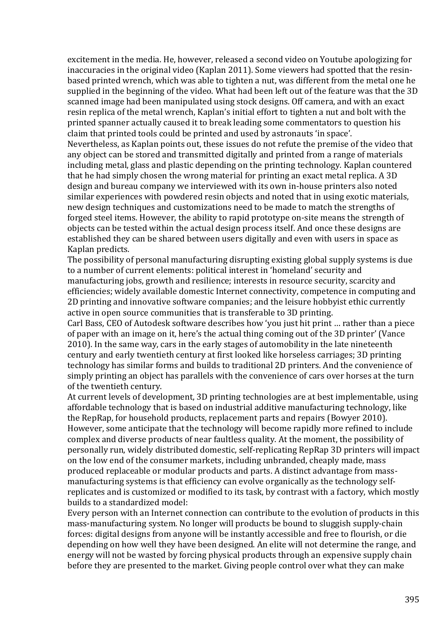excitement in the media. He, however, released a second video on Youtube apologizing for inaccuracies in the original video (Kaplan 2011). Some viewers had spotted that the resinbased printed wrench, which was able to tighten a nut, was different from the metal one he supplied in the beginning of the video. What had been left out of the feature was that the 3D scanned image had been manipulated using stock designs. Off camera, and with an exact resin replica of the metal wrench, Kaplan's initial effort to tighten a nut and bolt with the printed spanner actually caused it to break leading some commentators to question his claim that printed tools could be printed and used by astronauts 'in space'.

Nevertheless, as Kaplan points out, these issues do not refute the premise of the video that any object can be stored and transmitted digitally and printed from a range of materials including metal, glass and plastic depending on the printing technology. Kaplan countered that he had simply chosen the wrong material for printing an exact metal replica. A 3D design and bureau company we interviewed with its own in-house printers also noted similar experiences with powdered resin objects and noted that in using exotic materials, new design techniques and customizations need to be made to match the strengths of forged steel items. However, the ability to rapid prototype on-site means the strength of objects can be tested within the actual design process itself. And once these designs are established they can be shared between users digitally and even with users in space as Kaplan predicts.

The possibility of personal manufacturing disrupting existing global supply systems is due to a number of current elements: political interest in 'homeland' security and manufacturing jobs, growth and resilience; interests in resource security, scarcity and efficiencies; widely available domestic Internet connectivity, competence in computing and 2D printing and innovative software companies; and the leisure hobbyist ethic currently active in open source communities that is transferable to 3D printing.

Carl Bass, CEO of Autodesk software describes how 'you just hit print … rather than a piece of paper with an image on it, here's the actual thing coming out of the 3D printer' (Vance 2010). In the same way, cars in the early stages of automobility in the late nineteenth century and early twentieth century at first looked like horseless carriages; 3D printing technology has similar forms and builds to traditional 2D printers. And the convenience of simply printing an object has parallels with the convenience of cars over horses at the turn of the twentieth century.

At current levels of development, 3D printing technologies are at best implementable, using affordable technology that is based on industrial additive manufacturing technology, like the RepRap, for household products, replacement parts and repairs (Bowyer 2010). However, some anticipate that the technology will become rapidly more refined to include complex and diverse products of near faultless quality. At the moment, the possibility of personally run, widely distributed domestic, self-replicating RepRap 3D printers will impact on the low end of the consumer markets, including unbranded, cheaply made, mass produced replaceable or modular products and parts. A distinct advantage from massmanufacturing systems is that efficiency can evolve organically as the technology selfreplicates and is customized or modified to its task, by contrast with a factory, which mostly builds to a standardized model:

Every person with an Internet connection can contribute to the evolution of products in this mass-manufacturing system. No longer will products be bound to sluggish supply-chain forces: digital designs from anyone will be instantly accessible and free to flourish, or die depending on how well they have been designed. An elite will not determine the range, and energy will not be wasted by forcing physical products through an expensive supply chain before they are presented to the market. Giving people control over what they can make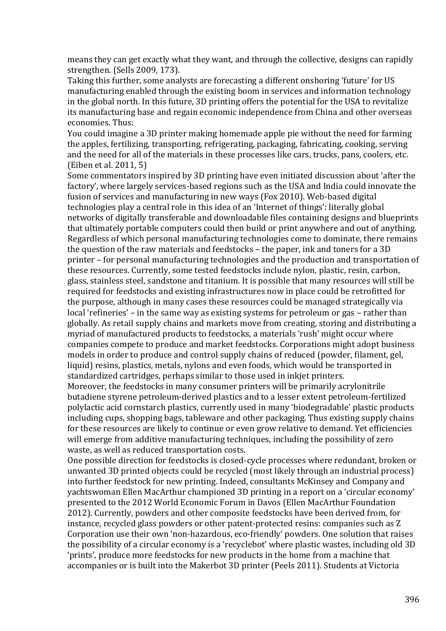means they can get exactly what they want, and through the collective, designs can rapidly strengthen. (Sells 2009, 173).

Taking this further, some analysts are forecasting a different onshoring 'future' for US manufacturing enabled through the existing boom in services and information technology in the global north. In this future, 3D printing offers the potential for the USA to revitalize its manufacturing base and regain economic independence from China and other overseas economies. Thus:

You could imagine a 3D printer making homemade apple pie without the need for farming the apples, fertilizing, transporting, refrigerating, packaging, fabricating, cooking, serving and the need for all of the materials in these processes like cars, trucks, pans, coolers, etc. (Eiben et al. 2011, 5)

Some commentators inspired by 3D printing have even initiated discussion about 'after the factory', where largely services-based regions such as the USA and India could innovate the fusion of services and manufacturing in new ways (Fox 2010). Web-based digital technologies play a central role in this idea of an 'Internet of things': literally global networks of digitally transferable and downloadable files containing designs and blueprints that ultimately portable computers could then build or print anywhere and out of anything. Regardless of which personal manufacturing technologies come to dominate, there remains the question of the raw materials and feedstocks – the paper, ink and toners for a 3D printer – for personal manufacturing technologies and the production and transportation of these resources. Currently, some tested feedstocks include nylon, plastic, resin, carbon, glass, stainless steel, sandstone and titanium. It is possible that many resources will still be required for feedstocks and existing infrastructures now in place could be retrofitted for the purpose, although in many cases these resources could be managed strategically via local 'refineries' – in the same way as existing systems for petroleum or gas – rather than globally. As retail supply chains and markets move from creating, storing and distributing a myriad of manufactured products to feedstocks, a materials 'rush' might occur where companies compete to produce and market feedstocks. Corporations might adopt business models in order to produce and control supply chains of reduced (powder, filament, gel, liquid) resins, plastics, metals, nylons and even foods, which would be transported in standardized cartridges, perhaps similar to those used in inkjet printers.

Moreover, the feedstocks in many consumer printers will be primarily acrylonitrile butadiene styrene petroleum-derived plastics and to a lesser extent petroleum-fertilized polylactic acid cornstarch plastics, currently used in many 'biodegradable' plastic products including cups, shopping bags, tableware and other packaging. Thus existing supply chains for these resources are likely to continue or even grow relative to demand. Yet efficiencies will emerge from additive manufacturing techniques, including the possibility of zero waste, as well as reduced transportation costs.

One possible direction for feedstocks is closed-cycle processes where redundant, broken or unwanted 3D printed objects could be recycled (most likely through an industrial process) into further feedstock for new printing. Indeed, consultants McKinsey and Company and yachtswoman Ellen MacArthur championed 3D printing in a report on a 'circular economy' presented to the 2012 World Economic Forum in Davos (Ellen MacArthur Foundation 2012). Currently, powders and other composite feedstocks have been derived from, for instance, recycled glass powders or other patent-protected resins: companies such as Z Corporation use their own 'non-hazardous, eco-friendly' powders. One solution that raises the possibility of a circular economy is a 'recyclebot' where plastic wastes, including old 3D 'prints', produce more feedstocks for new products in the home from a machine that accompanies or is built into the Makerbot 3D printer (Peels 2011). Students at Victoria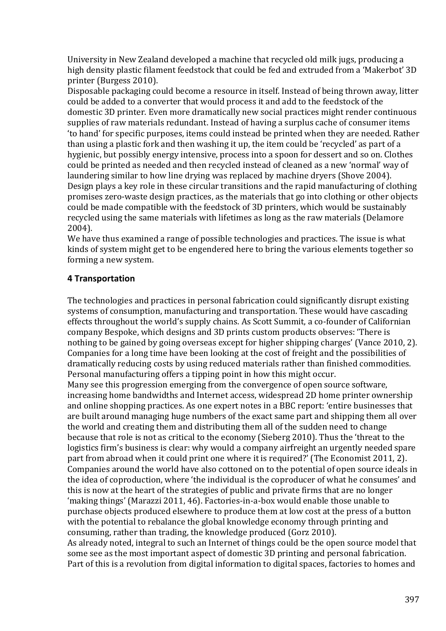University in New Zealand developed a machine that recycled old milk jugs, producing a high density plastic filament feedstock that could be fed and extruded from a 'Makerbot' 3D printer (Burgess 2010).

Disposable packaging could become a resource in itself. Instead of being thrown away, litter could be added to a converter that would process it and add to the feedstock of the domestic 3D printer. Even more dramatically new social practices might render continuous supplies of raw materials redundant. Instead of having a surplus cache of consumer items 'to hand' for specific purposes, items could instead be printed when they are needed. Rather than using a plastic fork and then washing it up, the item could be 'recycled' as part of a hygienic, but possibly energy intensive, process into a spoon for dessert and so on. Clothes could be printed as needed and then recycled instead of cleaned as a new 'normal' way of laundering similar to how line drying was replaced by machine dryers (Shove 2004). Design plays a key role in these circular transitions and the rapid manufacturing of clothing promises zero-waste design practices, as the materials that go into clothing or other objects could be made compatible with the feedstock of 3D printers, which would be sustainably recycled using the same materials with lifetimes as long as the raw materials (Delamore 2004).

We have thus examined a range of possible technologies and practices. The issue is what kinds of system might get to be engendered here to bring the various elements together so forming a new system.

## **4 Transportation**

The technologies and practices in personal fabrication could significantly disrupt existing systems of consumption, manufacturing and transportation. These would have cascading effects throughout the world's supply chains. As Scott Summit, a co-founder of Californian company Bespoke, which designs and 3D prints custom products observes: 'There is nothing to be gained by going overseas except for higher shipping charges' (Vance 2010, 2). Companies for a long time have been looking at the cost of freight and the possibilities of dramatically reducing costs by using reduced materials rather than finished commodities. Personal manufacturing offers a tipping point in how this might occur. Many see this progression emerging from the convergence of open source software, increasing home bandwidths and Internet access, widespread 2D home printer ownership and online shopping practices. As one expert notes in a BBC report: 'entire businesses that are built around managing huge numbers of the exact same part and shipping them all over the world and creating them and distributing them all of the sudden need to change because that role is not as critical to the economy (Sieberg 2010). Thus the 'threat to the logistics firm's business is clear: why would a company airfreight an urgently needed spare part from abroad when it could print one where it is required?' (The Economist 2011, 2). Companies around the world have also cottoned on to the potential of open source ideals in the idea of coproduction, where 'the individual is the coproducer of what he consumes' and this is now at the heart of the strategies of public and private firms that are no longer 'making things' (Marazzi 2011, 46). Factories-in-a-box would enable those unable to purchase objects produced elsewhere to produce them at low cost at the press of a button with the potential to rebalance the global knowledge economy through printing and consuming, rather than trading, the knowledge produced (Gorz 2010). As already noted, integral to such an Internet of things could be the open source model that

some see as the most important aspect of domestic 3D printing and personal fabrication. Part of this is a revolution from digital information to digital spaces, factories to homes and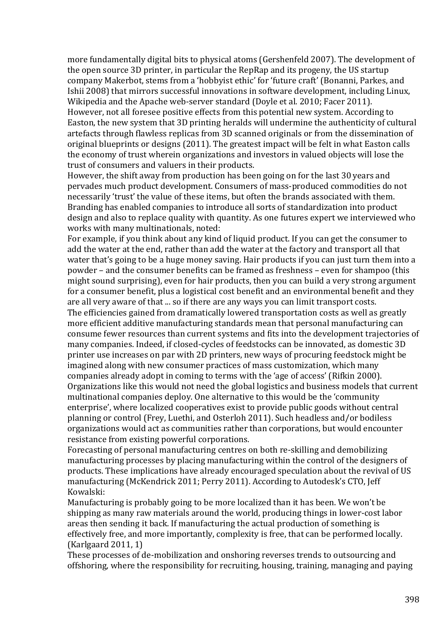more fundamentally digital bits to physical atoms (Gershenfeld 2007). The development of the open source 3D printer, in particular the RepRap and its progeny, the US startup company Makerbot, stems from a 'hobbyist ethic' for 'future craft' (Bonanni, Parkes, and Ishii 2008) that mirrors successful innovations in software development, including Linux, Wikipedia and the Apache web-server standard (Doyle et al. 2010; Facer 2011). However, not all foresee positive effects from this potential new system. According to Easton, the new system that 3D printing heralds will undermine the authenticity of cultural artefacts through flawless replicas from 3D scanned originals or from the dissemination of original blueprints or designs (2011). The greatest impact will be felt in what Easton calls the economy of trust wherein organizations and investors in valued objects will lose the trust of consumers and valuers in their products.

However, the shift away from production has been going on for the last 30 years and pervades much product development. Consumers of mass-produced commodities do not necessarily 'trust' the value of these items, but often the brands associated with them. Branding has enabled companies to introduce all sorts of standardization into product design and also to replace quality with quantity. As one futures expert we interviewed who works with many multinationals, noted:

For example, if you think about any kind of liquid product. If you can get the consumer to add the water at the end, rather than add the water at the factory and transport all that water that's going to be a huge money saving. Hair products if you can just turn them into a powder – and the consumer benefits can be framed as freshness – even for shampoo (this might sound surprising), even for hair products, then you can build a very strong argument for a consumer benefit, plus a logistical cost benefit and an environmental benefit and they are all very aware of that ... so if there are any ways you can limit transport costs. The efficiencies gained from dramatically lowered transportation costs as well as greatly more efficient additive manufacturing standards mean that personal manufacturing can consume fewer resources than current systems and fits into the development trajectories of many companies. Indeed, if closed-cycles of feedstocks can be innovated, as domestic 3D printer use increases on par with 2D printers, new ways of procuring feedstock might be imagined along with new consumer practices of mass customization, which many companies already adopt in coming to terms with the 'age of access' (Rifkin 2000). Organizations like this would not need the global logistics and business models that current multinational companies deploy. One alternative to this would be the 'community enterprise', where localized cooperatives exist to provide public goods without central planning or control (Frey, Luethi, and Osterloh 2011). Such headless and/or bodiless organizations would act as communities rather than corporations, but would encounter resistance from existing powerful corporations.

Forecasting of personal manufacturing centres on both re-skilling and demobilizing manufacturing processes by placing manufacturing within the control of the designers of products. These implications have already encouraged speculation about the revival of US manufacturing (McKendrick 2011; Perry 2011). According to Autodesk's CTO, Jeff Kowalski:

Manufacturing is probably going to be more localized than it has been. We won't be shipping as many raw materials around the world, producing things in lower-cost labor areas then sending it back. If manufacturing the actual production of something is effectively free, and more importantly, complexity is free, that can be performed locally. (Karlgaard 2011, 1)

These processes of de-mobilization and onshoring reverses trends to outsourcing and offshoring, where the responsibility for recruiting, housing, training, managing and paying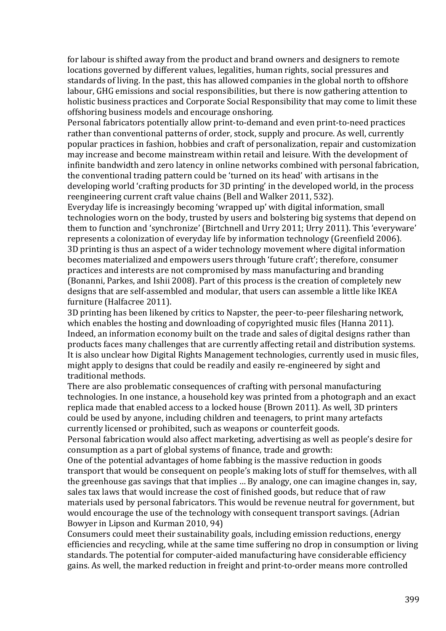for labour is shifted away from the product and brand owners and designers to remote locations governed by different values, legalities, human rights, social pressures and standards of living. In the past, this has allowed companies in the global north to offshore labour, GHG emissions and social responsibilities, but there is now gathering attention to holistic business practices and Corporate Social Responsibility that may come to limit these offshoring business models and encourage onshoring.

Personal fabricators potentially allow print-to-demand and even print-to-need practices rather than conventional patterns of order, stock, supply and procure. As well, currently popular practices in fashion, hobbies and craft of personalization, repair and customization may increase and become mainstream within retail and leisure. With the development of infinite bandwidth and zero latency in online networks combined with personal fabrication, the conventional trading pattern could be 'turned on its head' with artisans in the developing world 'crafting products for 3D printing' in the developed world, in the process reengineering current craft value chains (Bell and Walker 2011, 532).

Everyday life is increasingly becoming 'wrapped up' with digital information, small technologies worn on the body, trusted by users and bolstering big systems that depend on them to function and 'synchronize' (Birtchnell and Urry 2011; Urry 2011). This 'everyware' represents a colonization of everyday life by information technology (Greenfield 2006). 3D printing is thus an aspect of a wider technology movement where digital information becomes materialized and empowers users through 'future craft'; therefore, consumer practices and interests are not compromised by mass manufacturing and branding (Bonanni, Parkes, and Ishii 2008). Part of this process is the creation of completely new designs that are self-assembled and modular, that users can assemble a little like IKEA furniture (Halfacree 2011).

3D printing has been likened by critics to Napster, the peer-to-peer filesharing network, which enables the hosting and downloading of copyrighted music files (Hanna 2011). Indeed, an information economy built on the trade and sales of digital designs rather than products faces many challenges that are currently affecting retail and distribution systems. It is also unclear how Digital Rights Management technologies, currently used in music files, might apply to designs that could be readily and easily re-engineered by sight and traditional methods.

There are also problematic consequences of crafting with personal manufacturing technologies. In one instance, a household key was printed from a photograph and an exact replica made that enabled access to a locked house (Brown 2011). As well, 3D printers could be used by anyone, including children and teenagers, to print many artefacts currently licensed or prohibited, such as weapons or counterfeit goods.

Personal fabrication would also affect marketing, advertising as well as people's desire for consumption as a part of global systems of finance, trade and growth:

One of the potential advantages of home fabbing is the massive reduction in goods transport that would be consequent on people's making lots of stuff for themselves, with all the greenhouse gas savings that that implies … By analogy, one can imagine changes in, say, sales tax laws that would increase the cost of finished goods, but reduce that of raw materials used by personal fabricators. This would be revenue neutral for government, but would encourage the use of the technology with consequent transport savings. (Adrian Bowyer in Lipson and Kurman 2010, 94)

Consumers could meet their sustainability goals, including emission reductions, energy efficiencies and recycling, while at the same time suffering no drop in consumption or living standards. The potential for computer-aided manufacturing have considerable efficiency gains. As well, the marked reduction in freight and print-to-order means more controlled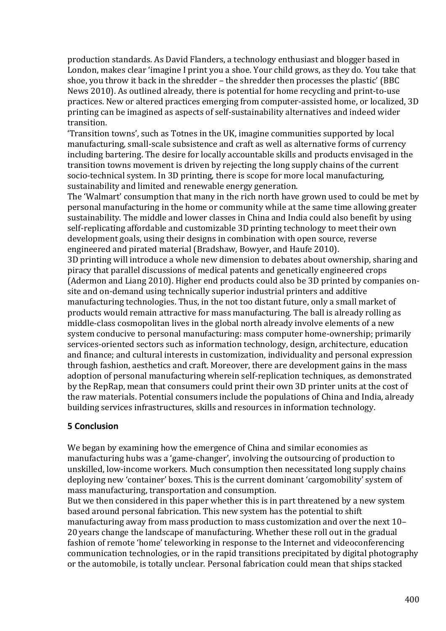production standards. As David Flanders, a technology enthusiast and blogger based in London, makes clear 'imagine I print you a shoe. Your child grows, as they do. You take that shoe, you throw it back in the shredder – the shredder then processes the plastic' (BBC News 2010). As outlined already, there is potential for home recycling and print-to-use practices. New or altered practices emerging from computer-assisted home, or localized, 3D printing can be imagined as aspects of self-sustainability alternatives and indeed wider transition.

'Transition towns', such as Totnes in the UK, imagine communities supported by local manufacturing, small-scale subsistence and craft as well as alternative forms of currency including bartering. The desire for locally accountable skills and products envisaged in the transition towns movement is driven by rejecting the long supply chains of the current socio-technical system. In 3D printing, there is scope for more local manufacturing, sustainability and limited and renewable energy generation.

The 'Walmart' consumption that many in the rich north have grown used to could be met by personal manufacturing in the home or community while at the same time allowing greater sustainability. The middle and lower classes in China and India could also benefit by using self-replicating affordable and customizable 3D printing technology to meet their own development goals, using their designs in combination with open source, reverse engineered and pirated material (Bradshaw, Bowyer, and Haufe 2010).

3D printing will introduce a whole new dimension to debates about ownership, sharing and piracy that parallel discussions of medical patents and genetically engineered crops (Adermon and Liang 2010). Higher end products could also be 3D printed by companies onsite and on-demand using technically superior industrial printers and additive manufacturing technologies. Thus, in the not too distant future, only a small market of products would remain attractive for mass manufacturing. The ball is already rolling as middle-class cosmopolitan lives in the global north already involve elements of a new system conducive to personal manufacturing: mass computer home-ownership; primarily services-oriented sectors such as information technology, design, architecture, education and finance; and cultural interests in customization, individuality and personal expression through fashion, aesthetics and craft. Moreover, there are development gains in the mass adoption of personal manufacturing wherein self-replication techniques, as demonstrated by the RepRap, mean that consumers could print their own 3D printer units at the cost of the raw materials. Potential consumers include the populations of China and India, already building services infrastructures, skills and resources in information technology.

## **5 Conclusion**

We began by examining how the emergence of China and similar economies as manufacturing hubs was a 'game-changer', involving the outsourcing of production to unskilled, low-income workers. Much consumption then necessitated long supply chains deploying new 'container' boxes. This is the current dominant 'cargomobility' system of mass manufacturing, transportation and consumption.

But we then considered in this paper whether this is in part threatened by a new system based around personal fabrication. This new system has the potential to shift manufacturing away from mass production to mass customization and over the next 10– 20 years change the landscape of manufacturing. Whether these roll out in the gradual fashion of remote 'home' teleworking in response to the Internet and videoconferencing communication technologies, or in the rapid transitions precipitated by digital photography or the automobile, is totally unclear. Personal fabrication could mean that ships stacked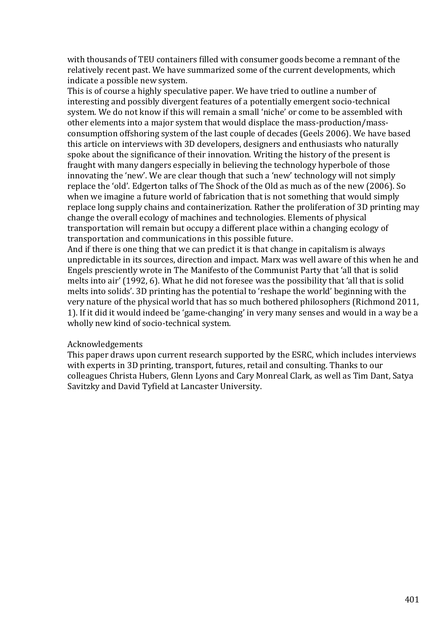with thousands of TEU containers filled with consumer goods become a remnant of the relatively recent past. We have summarized some of the current developments, which indicate a possible new system.

This is of course a highly speculative paper. We have tried to outline a number of interesting and possibly divergent features of a potentially emergent socio-technical system. We do not know if this will remain a small 'niche' or come to be assembled with other elements into a major system that would displace the mass-production/massconsumption offshoring system of the last couple of decades (Geels 2006). We have based this article on interviews with 3D developers, designers and enthusiasts who naturally spoke about the significance of their innovation. Writing the history of the present is fraught with many dangers especially in believing the technology hyperbole of those innovating the 'new'. We are clear though that such a 'new' technology will not simply replace the 'old'. Edgerton talks of The Shock of the Old as much as of the new (2006). So when we imagine a future world of fabrication that is not something that would simply replace long supply chains and containerization. Rather the proliferation of 3D printing may change the overall ecology of machines and technologies. Elements of physical transportation will remain but occupy a different place within a changing ecology of transportation and communications in this possible future.

And if there is one thing that we can predict it is that change in capitalism is always unpredictable in its sources, direction and impact. Marx was well aware of this when he and Engels presciently wrote in The Manifesto of the Communist Party that 'all that is solid melts into air' (1992, 6). What he did not foresee was the possibility that 'all that is solid melts into solids'. 3D printing has the potential to 'reshape the world' beginning with the very nature of the physical world that has so much bothered philosophers (Richmond 2011, 1). If it did it would indeed be 'game-changing' in very many senses and would in a way be a wholly new kind of socio-technical system.

#### Acknowledgements

This paper draws upon current research supported by the ESRC, which includes interviews with experts in 3D printing, transport, futures, retail and consulting. Thanks to our colleagues Christa Hubers, Glenn Lyons and Cary Monreal Clark, as well as Tim Dant, Satya Savitzky and David Tyfield at Lancaster University.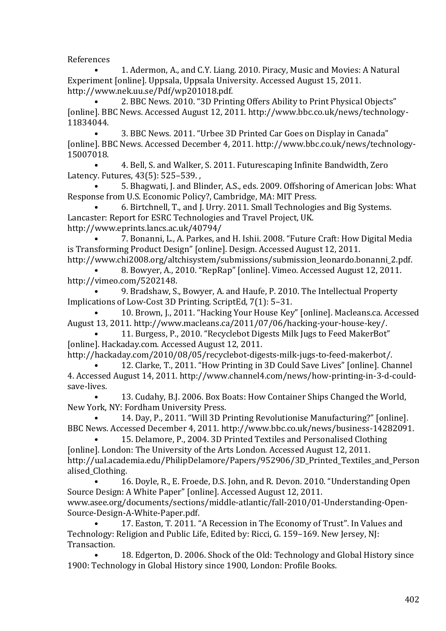References

• 1. Adermon, A., and C.Y. Liang. 2010. Piracy, Music and Movies: A Natural Experiment [online]. Uppsala, Uppsala University. Accessed August 15, 2011. http://www.nek.uu.se/Pdf/wp201018.pdf.

• 2. BBC News. 2010. "3D Printing Offers Ability to Print Physical Objects" [online]. BBC News. Accessed August 12, 2011. http://www.bbc.co.uk/news/technology-11834044.

• 3. BBC News. 2011. "Urbee 3D Printed Car Goes on Display in Canada" [online]. BBC News. Accessed December 4, 2011. http://www.bbc.co.uk/news/technology-15007018.

• 4. Bell, S. and Walker, S. 2011. Futurescaping Infinite Bandwidth, Zero Latency. Futures, 43(5): 525–539. ,

• 5. Bhagwati, J. and Blinder, A.S., eds. 2009. Offshoring of American Jobs: What Response from U.S. Economic Policy?, Cambridge, MA: MIT Press.

• 6. Birtchnell, T., and J. Urry. 2011. Small Technologies and Big Systems. Lancaster: Report for ESRC Technologies and Travel Project, UK. http://www.eprints.lancs.ac.uk/40794/

• 7. Bonanni, L., A. Parkes, and H. Ishii. 2008. "Future Craft: How Digital Media is Transforming Product Design" [online]. Design. Accessed August 12, 2011.

http://www.chi2008.org/altchisystem/submissions/submission\_leonardo.bonanni\_2.pdf. • 8. Bowyer, A., 2010. "RepRap" [online]. Vimeo. Accessed August 12, 2011. http://vimeo.com/5202148.

• 9. Bradshaw, S., Bowyer, A. and Haufe, P. 2010. The Intellectual Property Implications of Low-Cost 3D Printing. ScriptEd, 7(1): 5–31.

• 10. Brown, J., 2011. "Hacking Your House Key" [online]. Macleans.ca. Accessed August 13, 2011. http://www.macleans.ca/2011/07/06/hacking-your-house-key/.

• 11. Burgess, P., 2010. "Recyclebot Digests Milk Jugs to Feed MakerBot" [online]. Hackaday.com. Accessed August 12, 2011.

http://hackaday.com/2010/08/05/recyclebot-digests-milk-jugs-to-feed-makerbot/.

• 12. Clarke, T., 2011. "How Printing in 3D Could Save Lives" [online]. Channel 4. Accessed August 14, 2011. http://www.channel4.com/news/how-printing-in-3-d-couldsave-lives.

• 13. Cudahy, B.J. 2006. Box Boats: How Container Ships Changed the World, New York, NY: Fordham University Press.

• 14. Day, P., 2011. "Will 3D Printing Revolutionise Manufacturing?" [online]. BBC News. Accessed December 4, 2011. http://www.bbc.co.uk/news/business-14282091.

• 15. Delamore, P., 2004. 3D Printed Textiles and Personalised Clothing [online]. London: The University of the Arts London. Accessed August 12, 2011. http://ual.academia.edu/PhilipDelamore/Papers/952906/3D\_Printed\_Textiles\_and\_Person alised\_Clothing.

• 16. Doyle, R., E. Froede, D.S. John, and R. Devon. 2010. "Understanding Open Source Design: A White Paper" [online]. Accessed August 12, 2011. www.asee.org/documents/sections/middle-atlantic/fall-2010/01-Understanding-Open-Source-Design-A-White-Paper.pdf.

• 17. Easton, T. 2011. "A Recession in The Economy of Trust". In Values and Technology: Religion and Public Life, Edited by: Ricci, G. 159–169. New Jersey, NJ: Transaction.

• 18. Edgerton, D. 2006. Shock of the Old: Technology and Global History since 1900: Technology in Global History since 1900, London: Profile Books.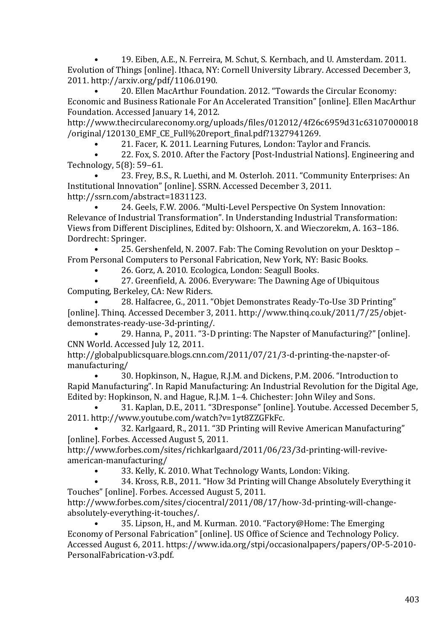• 19. Eiben, A.E., N. Ferreira, M. Schut, S. Kernbach, and U. Amsterdam. 2011. Evolution of Things [online]. Ithaca, NY: Cornell University Library. Accessed December 3, 2011. http://arxiv.org/pdf/1106.0190.

• 20. Ellen MacArthur Foundation. 2012. "Towards the Circular Economy: Economic and Business Rationale For An Accelerated Transition" [online]. Ellen MacArthur Foundation. Accessed January 14, 2012.

http://www.thecirculareconomy.org/uploads/files/012012/4f26c6959d31c63107000018 /original/120130\_EMF\_CE\_Full%20report\_final.pdf?1327941269.

• 21. Facer, K. 2011. Learning Futures, London: Taylor and Francis.

• 22. Fox, S. 2010. After the Factory [Post-Industrial Nations]. Engineering and Technology, 5(8): 59–61.

• 23. Frey, B.S., R. Luethi, and M. Osterloh. 2011. "Community Enterprises: An Institutional Innovation" [online]. SSRN. Accessed December 3, 2011. http://ssrn.com/abstract=1831123.

• 24. Geels, F.W. 2006. "Multi-Level Perspective On System Innovation: Relevance of Industrial Transformation". In Understanding Industrial Transformation: Views from Different Disciplines, Edited by: Olshoorn, X. and Wieczorekm, A. 163–186. Dordrecht: Springer.

• 25. Gershenfeld, N. 2007. Fab: The Coming Revolution on your Desktop – From Personal Computers to Personal Fabrication, New York, NY: Basic Books.

• 26. Gorz, A. 2010. Ecologica, London: Seagull Books.

• 27. Greenfield, A. 2006. Everyware: The Dawning Age of Ubiquitous Computing, Berkeley, CA: New Riders.

• 28. Halfacree, G., 2011. "Objet Demonstrates Ready-To-Use 3D Printing" [online]. Thinq. Accessed December 3, 2011. http://www.thinq.co.uk/2011/7/25/objetdemonstrates-ready-use-3d-printing/.

• 29. Hanna, P., 2011. "3-D printing: The Napster of Manufacturing?" [online]. CNN World. Accessed July 12, 2011.

http://globalpublicsquare.blogs.cnn.com/2011/07/21/3-d-printing-the-napster-ofmanufacturing/

• 30. Hopkinson, N., Hague, R.J.M. and Dickens, P.M. 2006. "Introduction to Rapid Manufacturing". In Rapid Manufacturing: An Industrial Revolution for the Digital Age, Edited by: Hopkinson, N. and Hague, R.J.M. 1–4. Chichester: John Wiley and Sons.

• 31. Kaplan, D.E., 2011. "3Dresponse" [online]. Youtube. Accessed December 5, 2011. http://www.youtube.com/watch?v=1yt8ZZGFkFc.

• 32. Karlgaard, R., 2011. "3D Printing will Revive American Manufacturing" [online]. Forbes. Accessed August 5, 2011.

http://www.forbes.com/sites/richkarlgaard/2011/06/23/3d-printing-will-reviveamerican-manufacturing/

• 33. Kelly, K. 2010. What Technology Wants, London: Viking.

• 34. Kross, R.B., 2011. "How 3d Printing will Change Absolutely Everything it Touches" [online]. Forbes. Accessed August 5, 2011.

http://www.forbes.com/sites/ciocentral/2011/08/17/how-3d-printing-will-changeabsolutely-everything-it-touches/.

• 35. Lipson, H., and M. Kurman. 2010. "Factory@Home: The Emerging Economy of Personal Fabrication" [online]. US Office of Science and Technology Policy. Accessed August 6, 2011. https://www.ida.org/stpi/occasionalpapers/papers/OP-5-2010- PersonalFabrication-v3.pdf.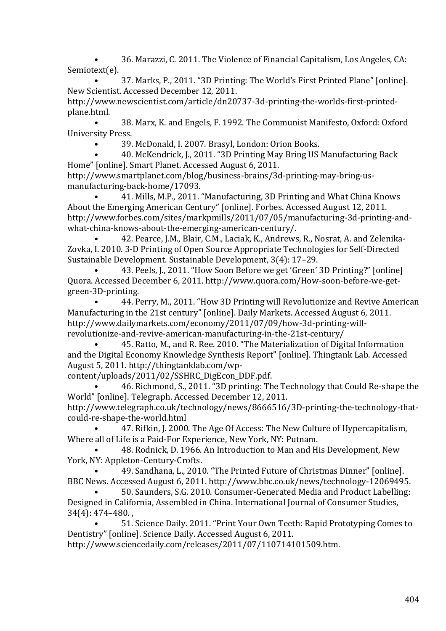• 36. Marazzi, C. 2011. The Violence of Financial Capitalism, Los Angeles, CA: Semiotext(e).

• 37. Marks, P., 2011. "3D Printing: The World's First Printed Plane" [online]. New Scientist. Accessed December 12, 2011.

http://www.newscientist.com/article/dn20737-3d-printing-the-worlds-first-printedplane.html.

• 38. Marx, K. and Engels, F. 1992. The Communist Manifesto, Oxford: Oxford University Press.

• 39. McDonald, I. 2007. Brasyl, London: Orion Books.

• 40. McKendrick, J., 2011. "3D Printing May Bring US Manufacturing Back Home" [online]. Smart Planet. Accessed August 6, 2011.

http://www.smartplanet.com/blog/business-brains/3d-printing-may-bring-usmanufacturing-back-home/17093.

• 41. Mills, M.P., 2011. "Manufacturing, 3D Printing and What China Knows About the Emerging American Century" [online]. Forbes. Accessed August 12, 2011. http://www.forbes.com/sites/markpmills/2011/07/05/manufacturing-3d-printing-andwhat-china-knows-about-the-emerging-american-century/.

• 42. Pearce, J.M., Blair, C.M., Laciak, K., Andrews, R., Nosrat, A. and Zelenika-Zovka, I. 2010. 3-D Printing of Open Source Appropriate Technologies for Self-Directed Sustainable Development. Sustainable Development, 3(4): 17–29.

• 43. Peels, J., 2011. "How Soon Before we get 'Green' 3D Printing?" [online] Quora. Accessed December 6, 2011. http://www.quora.com/How-soon-before-we-getgreen-3D-printing.

• 44. Perry, M., 2011. "How 3D Printing will Revolutionize and Revive American Manufacturing in the 21st century" [online]. Daily Markets. Accessed August 6, 2011. http://www.dailymarkets.com/economy/2011/07/09/how-3d-printing-willrevolutionize-and-revive-american-manufacturing-in-the-21st-century/

• 45. Ratto, M., and R. Ree. 2010. "The Materialization of Digital Information and the Digital Economy Knowledge Synthesis Report" [online]. Thingtank Lab. Accessed August 5, 2011. http://thingtanklab.com/wp-

content/uploads/2011/02/SSHRC\_DigEcon\_DDF.pdf.

• 46. Richmond, S., 2011. "3D printing: The Technology that Could Re-shape the World" [online]. Telegraph. Accessed December 12, 2011. http://www.telegraph.co.uk/technology/news/8666516/3D-printing-the-technology-that-

could-re-shape-the-world.html • 47. Rifkin, J. 2000. The Age Of Access: The New Culture of Hypercapitalism,

Where all of Life is a Paid-For Experience, New York, NY: Putnam.

• 48. Rodnick, D. 1966. An Introduction to Man and His Development, New York, NY: Appleton-Century-Crofts.

• 49. Sandhana, L., 2010. "The Printed Future of Christmas Dinner" [online]. BBC News. Accessed August 6, 2011. http://www.bbc.co.uk/news/technology-12069495.

• 50. Saunders, S.G. 2010. Consumer-Generated Media and Product Labelling: Designed in California, Assembled in China. International Journal of Consumer Studies, 34(4): 474–480. ,

• 51. Science Daily. 2011. "Print Your Own Teeth: Rapid Prototyping Comes to Dentistry" [online]. Science Daily. Accessed August 6, 2011.

http://www.sciencedaily.com/releases/2011/07/110714101509.htm.